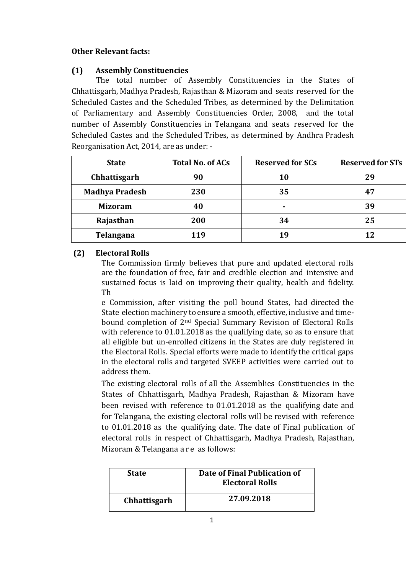## **Other Relevant facts:**

## **(1) Assembly Constituencies**

The total number of Assembly Constituencies in the States of Chhattisgarh, Madhya Pradesh, Rajasthan & Mizoram and seats reserved for the Scheduled Castes and the Scheduled Tribes, as determined by the Delimitation of Parliamentary and Assembly Constituencies Order, 2008, and the total number of Assembly Constituencies in Telangana and seats reserved for the Scheduled Castes and the Scheduled Tribes, as determined by Andhra Pradesh Reorganisation Act, 2014, are as under: -

| <b>State</b>          | <b>Total No. of ACs</b> | <b>Reserved for SCs</b> | <b>Reserved for STs</b> |
|-----------------------|-------------------------|-------------------------|-------------------------|
| Chhattisgarh          | 90                      | 10                      | 29                      |
| <b>Madhya Pradesh</b> | 230                     | 35                      | 47                      |
| <b>Mizoram</b>        | 40                      | ۰                       | 39                      |
| Rajasthan             | 200                     | 34                      | 25                      |
| Telangana             | 119                     | 19                      | 12                      |

## **(2) Electoral Rolls**

The Commission firmly believes that pure and updated electoral rolls are the foundation of free, fair and credible election and intensive and sustained focus is laid on improving their quality, health and fidelity. Th

e Commission, after visiting the poll bound States, had directed the State election machinery to ensure a smooth, effective, inclusive and timebound completion of 2nd Special Summary Revision of Electoral Rolls with reference to 01.01.2018 as the qualifying date, so as to ensure that all eligible but un-enrolled citizens in the States are duly registered in the Electoral Rolls. Special efforts were made to identify the critical gaps in the electoral rolls and targeted SVEEP activities were carried out to address them.

The existing electoral rolls of all the Assemblies Constituencies in the States of Chhattisgarh, Madhya Pradesh, Rajasthan & Mizoram have been revised with reference to 01.01.2018 as the qualifying date and for Telangana, the existing electoral rolls will be revised with reference to 01.01.2018 as the qualifying date. The date of Final publication of electoral rolls in respect of Chhattisgarh, Madhya Pradesh, Rajasthan, Mizoram & Telangana a r e as follows:

| <b>State</b> | Date of Final Publication of<br><b>Electoral Rolls</b> |
|--------------|--------------------------------------------------------|
| Chhattisgarh | 27.09.2018                                             |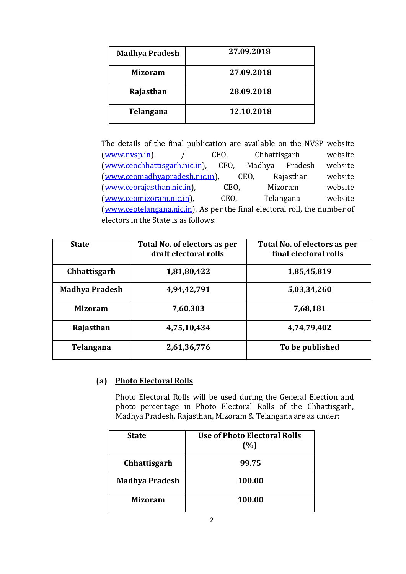| <b>Madhya Pradesh</b> | 27.09.2018 |
|-----------------------|------------|
| Mizoram               | 27.09.2018 |
| Rajasthan             | 28.09.2018 |
| Telangana             | 12.10.2018 |

The details of the final publication are available on the NVSP website [\(www.nvsp.in\)](http://www.nvsp.in/) / CEO, Chhattisgarh website [\(www.ceochhattisgarh.nic.in\)](http://www.ceochhattisgarh.nic.in/), CEO, Madhya Pradesh website [\(www.ceomadhyapradesh.nic.in\)](http://www.ceomadhyapradesh.nic.in/), CEO, Rajasthan website [\(www.ceorajasthan.nic.in\)](http://www.ceorajasthan.nic.in/), CEO, Mizoram website [\(www.ceomizoram.nic.in\)](http://www.ceomizoram.nic.in/), CEO, Telangana website [\(www.ceotelangana.nic.in\)](http://www.ceotelangana.nic.in/). As per the final electoral roll, the number of electors in the State is as follows:

| <b>State</b>          | Total No. of electors as per<br>draft electoral rolls | Total No. of electors as per<br>final electoral rolls |
|-----------------------|-------------------------------------------------------|-------------------------------------------------------|
| Chhattisgarh          | 1,81,80,422                                           | 1,85,45,819                                           |
| <b>Madhya Pradesh</b> | 4,94,42,791                                           | 5,03,34,260                                           |
| Mizoram               | 7,60,303                                              | 7,68,181                                              |
| Rajasthan             | 4,75,10,434                                           | 4,74,79,402                                           |
| Telangana             | 2,61,36,776                                           | To be published                                       |

## **(a) Photo Electoral Rolls**

Photo Electoral Rolls will be used during the General Election and photo percentage in Photo Electoral Rolls of the Chhattisgarh, Madhya Pradesh, Rajasthan, Mizoram & Telangana are as under:

| <b>State</b>          | <b>Use of Photo Electoral Rolls</b><br>(%) |
|-----------------------|--------------------------------------------|
| Chhattisgarh          | 99.75                                      |
| <b>Madhya Pradesh</b> | 100.00                                     |
| <b>Mizoram</b>        | 100.00                                     |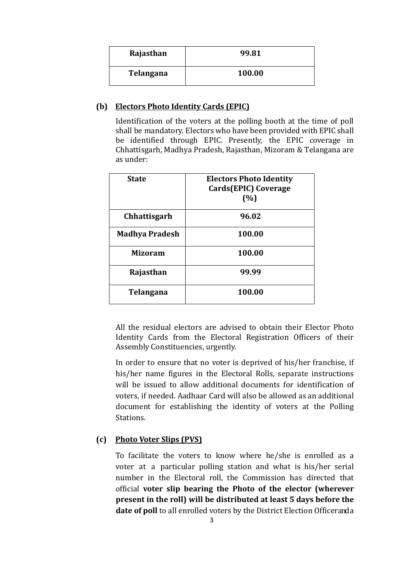| Rajasthan | 99.81  |
|-----------|--------|
| Telangana | 100.00 |

### **(b) Electors Photo Identity Cards (EPIC)**

Identification of the voters at the polling booth at the time of poll shall be mandatory. Electors who have been provided with EPIC shall be identified through EPIC. Presently, the EPIC coverage in Chhattisgarh, Madhya Pradesh, Rajasthan, Mizoram & Telangana are as under:

| <b>State</b>          | <b>Electors Photo Identity</b><br>Cards(EPIC) Coverage<br>(%) |
|-----------------------|---------------------------------------------------------------|
| <b>Chhattisgarh</b>   | 96.02                                                         |
| <b>Madhya Pradesh</b> | 100.00                                                        |
| <b>Mizoram</b>        | 100.00                                                        |
| Rajasthan             | 99.99                                                         |
| Telangana             | 100.00                                                        |

All the residual electors are advised to obtain their Elector Photo Identity Cards from the Electoral Registration Officers of their Assembly Constituencies, urgently.

In order to ensure that no voter is deprived of his/her franchise, if his/her name figures in the Electoral Rolls, separate instructions will be issued to allow additional documents for identification of voters, if needed. Aadhaar Card will also be allowed as an additional document for establishing the identity of voters at the Polling Stations.

### **(c) Photo Voter Slips (PVS)**

To facilitate the voters to know where he/she is enrolled as a voter at a particular polling station and what is his/her serial number in the Electoral roll, the Commission has directed that official **voter slip bearing the Photo of the elector (wherever present in the roll) will be distributed at least 5 days before the**  date of poll to all enrolled voters by the District Election Officeranda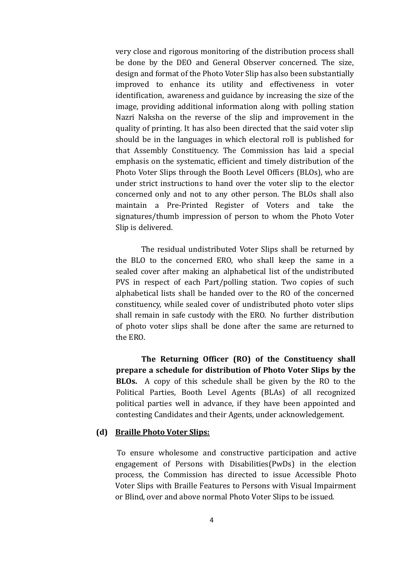very close and rigorous monitoring of the distribution process shall be done by the DEO and General Observer concerned. The size, design and format of the Photo Voter Slip has also been substantially improved to enhance its utility and effectiveness in voter identification, awareness and guidance by increasing the size of the image, providing additional information along with polling station Nazri Naksha on the reverse of the slip and improvement in the quality of printing. It has also been directed that the said voter slip should be in the languages in which electoral roll is published for that Assembly Constituency. The Commission has laid a special emphasis on the systematic, efficient and timely distribution of the Photo Voter Slips through the Booth Level Officers (BLOs), who are under strict instructions to hand over the voter slip to the elector concerned only and not to any other person. The BLOs shall also maintain a Pre-Printed Register of Voters and take the signatures/thumb impression of person to whom the Photo Voter Slip is delivered.

The residual undistributed Voter Slips shall be returned by the BLO to the concerned ERO, who shall keep the same in a sealed cover after making an alphabetical list of the undistributed PVS in respect of each Part/polling station. Two copies of such alphabetical lists shall be handed over to the RO of the concerned constituency, while sealed cover of undistributed photo voter slips shall remain in safe custody with the ERO. No further distribution of photo voter slips shall be done after the same are returned to the ERO.

**The Returning Officer (RO) of the Constituency shall prepare a schedule for distribution of Photo Voter Slips by the BLOs.** A copy of this schedule shall be given by the RO to the Political Parties, Booth Level Agents (BLAs) of all recognized political parties well in advance, if they have been appointed and contesting Candidates and their Agents, under acknowledgement.

#### **(d) Braille Photo Voter Slips:**

To ensure wholesome and constructive participation and active engagement of Persons with Disabilities(PwDs) in the election process, the Commission has directed to issue Accessible Photo Voter Slips with Braille Features to Persons with Visual Impairment or Blind, over and above normal Photo Voter Slips to be issued.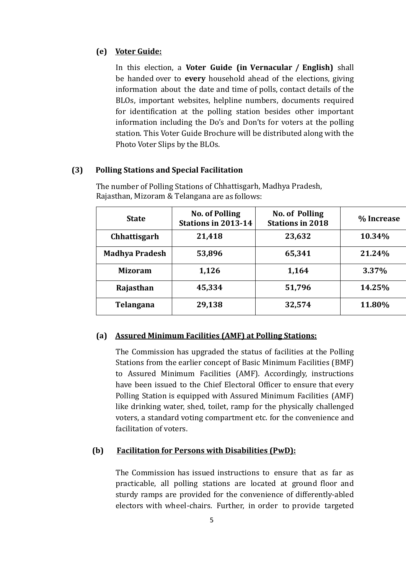### **(e) Voter Guide:**

In this election, a **Voter Guide (in Vernacular / English)** shall be handed over to **every** household ahead of the elections, giving information about the date and time of polls, contact details of the BLOs, important websites, helpline numbers, documents required for identification at the polling station besides other important information including the Do's and Don'ts for voters at the polling station. This Voter Guide Brochure will be distributed along with the Photo Voter Slips by the BLOs.

#### **(3) Polling Stations and Special Facilitation**

| <b>State</b>          | <b>No. of Polling</b><br><b>Stations in 2013-14</b> | <b>No. of Polling</b><br><b>Stations in 2018</b> | % Increase |
|-----------------------|-----------------------------------------------------|--------------------------------------------------|------------|
| <b>Chhattisgarh</b>   | 21,418                                              | 23,632                                           | 10.34%     |
| <b>Madhya Pradesh</b> | 53,896                                              | 65,341                                           | 21.24%     |
| <b>Mizoram</b>        | 1,126                                               | 1,164                                            | 3.37%      |
| Rajasthan             | 45,334                                              | 51,796                                           | 14.25%     |
| Telangana             | 29,138                                              | 32,574                                           | 11.80%     |

The number of Polling Stations of Chhattisgarh, Madhya Pradesh, Rajasthan, Mizoram & Telangana are as follows:

# **(a) Assured Minimum Facilities (AMF) at Polling Stations:**

The Commission has upgraded the status of facilities at the Polling Stations from the earlier concept of Basic Minimum Facilities (BMF) to Assured Minimum Facilities (AMF). Accordingly, instructions have been issued to the Chief Electoral Officer to ensure that every Polling Station is equipped with Assured Minimum Facilities (AMF) like drinking water, shed, toilet, ramp for the physically challenged voters, a standard voting compartment etc. for the convenience and facilitation of voters.

## **(b) Facilitation for Persons with Disabilities (PwD):**

The Commission has issued instructions to ensure that as far as practicable, all polling stations are located at ground floor and sturdy ramps are provided for the convenience of differently-abled electors with wheel-chairs. Further, in order to provide targeted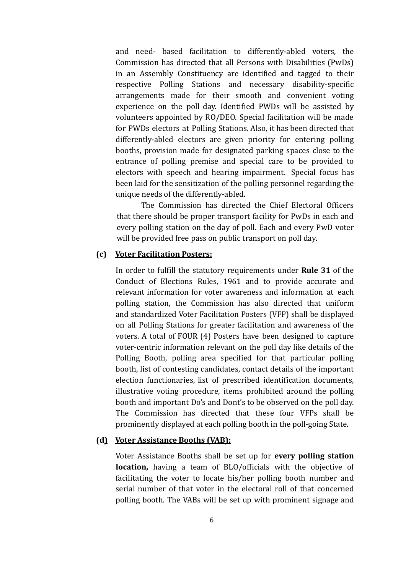and need- based facilitation to differently-abled voters, the Commission has directed that all Persons with Disabilities (PwDs) in an Assembly Constituency are identified and tagged to their respective Polling Stations and necessary disability-specific arrangements made for their smooth and convenient voting experience on the poll day. Identified PWDs will be assisted by volunteers appointed by RO/DEO. Special facilitation will be made for PWDs electors at Polling Stations. Also, it has been directed that differently-abled electors are given priority for entering polling booths, provision made for designated parking spaces close to the entrance of polling premise and special care to be provided to electors with speech and hearing impairment. Special focus has been laid for the sensitization of the polling personnel regarding the unique needs of the differently-abled.

The Commission has directed the Chief Electoral Officers that there should be proper transport facility for PwDs in each and every polling station on the day of poll. Each and every PwD voter will be provided free pass on public transport on poll day.

## **(c) Voter Facilitation Posters:**

In order to fulfill the statutory requirements under **Rule 31** of the Conduct of Elections Rules, 1961 and to provide accurate and relevant information for voter awareness and information at each polling station, the Commission has also directed that uniform and standardized Voter Facilitation Posters (VFP) shall be displayed on all Polling Stations for greater facilitation and awareness of the voters. A total of FOUR (4) Posters have been designed to capture voter-centric information relevant on the poll day like details of the Polling Booth, polling area specified for that particular polling booth, list of contesting candidates, contact details of the important election functionaries, list of prescribed identification documents, illustrative voting procedure, items prohibited around the polling booth and important Do's and Dont's to be observed on the poll day. The Commission has directed that these four VFPs shall be prominently displayed at each polling booth in the poll-going State.

#### **(d) Voter Assistance Booths (VAB):**

Voter Assistance Booths shall be set up for **every polling station location,** having a team of BLO/officials with the objective of facilitating the voter to locate his/her polling booth number and serial number of that voter in the electoral roll of that concerned polling booth. The VABs will be set up with prominent signage and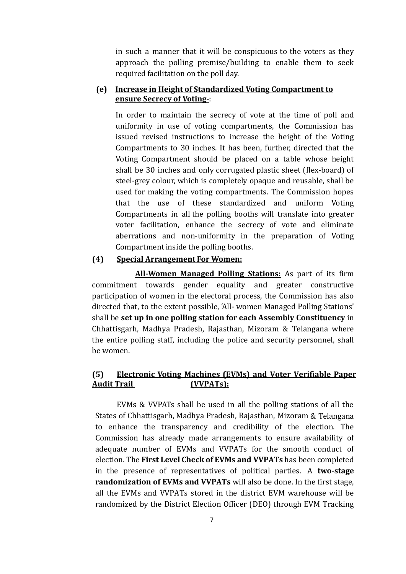in such a manner that it will be conspicuous to the voters as they approach the polling premise/building to enable them to seek required facilitation on the poll day.

## **(e) Increase in Height of Standardized Voting Compartment to ensure Secrecy of Voting-**:

In order to maintain the secrecy of vote at the time of poll and uniformity in use of voting compartments, the Commission has issued revised instructions to increase the height of the Voting Compartments to 30 inches. It has been, further, directed that the Voting Compartment should be placed on a table whose height shall be 30 inches and only corrugated plastic sheet (flex-board) of steel-grey colour, which is completely opaque and reusable, shall be used for making the voting compartments. The Commission hopes that the use of these standardized and uniform Voting Compartments in all the polling booths will translate into greater voter facilitation, enhance the secrecy of vote and eliminate aberrations and non-uniformity in the preparation of Voting Compartmentinside the polling booths.

### **(4) Special Arrangement For Women:**

**All-Women Managed Polling Stations:** As part of its firm commitment towards gender equality and greater constructive participation of women in the electoral process, the Commission has also directed that, to the extent possible, 'All- women Managed Polling Stations' shall be **set up in one polling station for each Assembly Constituency** in Chhattisgarh, Madhya Pradesh, Rajasthan, Mizoram & Telangana where the entire polling staff, including the police and security personnel, shall be women.

## **(5) Electronic Voting Machines (EVMs) and Voter Verifiable Paper Audit Trail (VVPATs):**

EVMs & VVPATs shall be used in all the polling stations of all the States of Chhattisgarh, Madhya Pradesh, Rajasthan, Mizoram & Telangana to enhance the transparency and credibility of the election. The Commission has already made arrangements to ensure availability of adequate number of EVMs and VVPATs for the smooth conduct of election. The **First Level Check of EVMs and VVPATs** has been completed in the presence of representatives of political parties. A **two-stage randomization of EVMs and VVPATs** will also be done. In the first stage, all the EVMs and VVPATs stored in the district EVM warehouse will be randomized by the District Election Officer (DEO) through EVM Tracking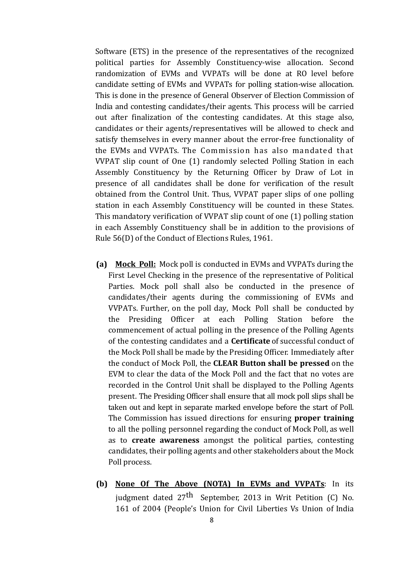Software (ETS) in the presence of the representatives of the recognized political parties for Assembly Constituency-wise allocation. Second randomization of EVMs and VVPATs will be done at RO level before candidate setting of EVMs and VVPATs for polling station-wise allocation. This is done in the presence of General Observer of Election Commission of India and contesting candidates/their agents. This process will be carried out after finalization of the contesting candidates. At this stage also, candidates or their agents/representatives will be allowed to check and satisfy themselves in every manner about the error-free functionality of the EVMs and VVPATs. The Commission has also mandated that VVPAT slip count of One (1) randomly selected Polling Station in each Assembly Constituency by the Returning Officer by Draw of Lot in presence of all candidates shall be done for verification of the result obtained from the Control Unit. Thus, VVPAT paper slips of one polling station in each Assembly Constituency will be counted in these States. This mandatory verification of VVPAT slip count of one (1) polling station in each Assembly Constituency shall be in addition to the provisions of Rule 56(D) of the Conduct of Elections Rules, 1961.

- **(a) Mock Poll:** Mock poll is conducted in EVMs and VVPATs during the First Level Checking in the presence of the representative of Political Parties. Mock poll shall also be conducted in the presence of candidates/their agents during the commissioning of EVMs and VVPATs. Further, on the poll day, Mock Poll shall be conducted by the Presiding Officer at each Polling Station before the commencement of actual polling in the presence of the Polling Agents of the contesting candidates and a **Certificate** of successful conduct of the Mock Poll shall be made by the Presiding Officer. Immediately after the conduct of Mock Poll, the **CLEAR Button shall be pressed** on the EVM to clear the data of the Mock Poll and the fact that no votes are recorded in the Control Unit shall be displayed to the Polling Agents present. The Presiding Officer shall ensure that all mock poll slips shall be taken out and kept in separate marked envelope before the start of Poll. The Commission has issued directions for ensuring **proper training** to all the polling personnel regarding the conduct of Mock Poll, as well as to **create awareness** amongst the political parties, contesting candidates, their polling agents and other stakeholders about the Mock Poll process.
- **(b) None Of The Above (NOTA) In EVMs and VVPATs**: In its judgment dated  $27<sup>th</sup>$  September, 2013 in Writ Petition (C) No. 161 of 2004 (People's Union for Civil Liberties Vs Union of India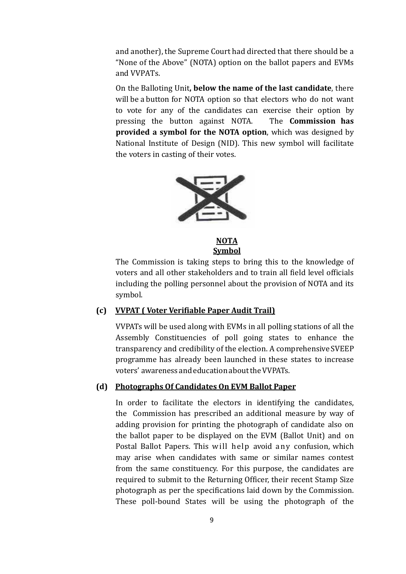and another), the Supreme Court had directed that there should be a "None of the Above" (NOTA) option on the ballot papers and EVMs and VVPATs.

On the Balloting Unit**, below the name of the last candidate**, there will be a button for NOTA option so that electors who do not want to vote for any of the candidates can exercise their option by pressing the button against NOTA. The **Commission has provided a symbol for the NOTA option**, which was designed by National Institute of Design (NID). This new symbol will facilitate the voters in casting of their votes.



**NOTA Symbol**

The Commission is taking steps to bring this to the knowledge of voters and all other stakeholders and to train all field level officials including the polling personnel about the provision of NOTA and its symbol.

## **(c) VVPAT ( Voter Verifiable Paper Audit Trail)**

VVPATs will be used along with EVMs in all polling stations of all the Assembly Constituencies of poll going states to enhance the transparency and credibility of the election. A comprehensive SVEEP programme has already been launched in these states to increase voters' awareness andeducationabouttheVVPATs.

### **(d) Photographs Of Candidates On EVM Ballot Paper**

In order to facilitate the electors in identifying the candidates, the Commission has prescribed an additional measure by way of adding provision for printing the photograph of candidate also on the ballot paper to be displayed on the EVM (Ballot Unit) and on Postal Ballot Papers. This will help avoid any confusion, which may arise when candidates with same or similar names contest from the same constituency. For this purpose, the candidates are required to submit to the Returning Officer, their recent Stamp Size photograph as per the specifications laid down by the Commission. These poll-bound States will be using the photograph of the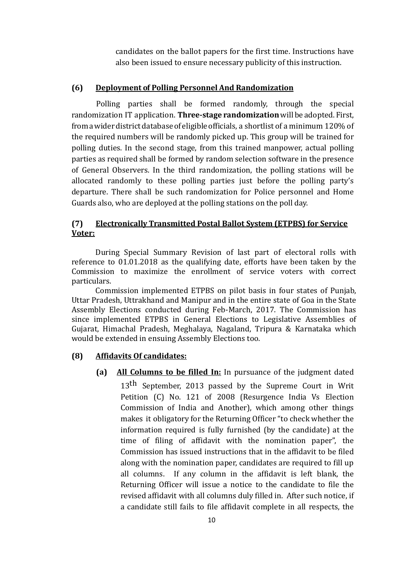candidates on the ballot papers for the first time. Instructions have also been issued to ensure necessary publicity of this instruction.

### **(6) Deployment of Polling Personnel And Randomization**

Polling parties shall be formed randomly, through the special randomization IT application. **Three-stage randomization**will be adopted. First, from a wider district database of eligible officials, a shortlist of a minimum 120% of the required numbers will be randomly picked up. This group will be trained for polling duties. In the second stage, from this trained manpower, actual polling parties as required shall be formed by random selection software in the presence of General Observers. In the third randomization, the polling stations will be allocated randomly to these polling parties just before the polling party's departure. There shall be such randomization for Police personnel and Home Guards also, who are deployed at the polling stations on the poll day.

## **(7) Electronically Transmitted Postal Ballot System (ETPBS) for Service Voter:**

During Special Summary Revision of last part of electoral rolls with reference to 01.01.2018 as the qualifying date, efforts have been taken by the Commission to maximize the enrollment of service voters with correct particulars.

Commission implemented ETPBS on pilot basis in four states of Punjab, Uttar Pradesh, Uttrakhand and Manipur and in the entire state of Goa in the State Assembly Elections conducted during Feb-March, 2017. The Commission has since implemented ETPBS in General Elections to Legislative Assemblies of Gujarat, Himachal Pradesh, Meghalaya, Nagaland, Tripura & Karnataka which would be extended in ensuing Assembly Elections too.

### **(8) Affidavits Of candidates:**

**(a) All Columns to be filled In:** In pursuance of the judgment dated 13<sup>th</sup> September, 2013 passed by the Supreme Court in Writ Petition (C) No. 121 of 2008 (Resurgence India Vs Election Commission of India and Another), which among other things makes it obligatory for the Returning Officer "to check whether the information required is fully furnished (by the candidate) at the time of filing of affidavit with the nomination paper", the Commission has issued instructions that in the affidavit to be filed along with the nomination paper, candidates are required to fill up all columns. If any column in the affidavit is left blank, the Returning Officer will issue a notice to the candidate to file the revised affidavit with all columns duly filled in. After such notice, if a candidate still fails to file affidavit complete in all respects, the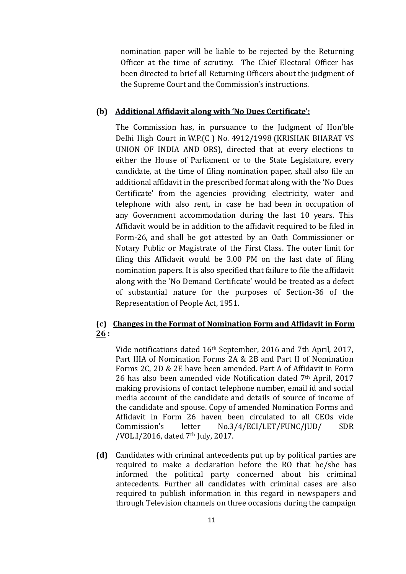nomination paper will be liable to be rejected by the Returning Officer at the time of scrutiny. The Chief Electoral Officer has been directed to brief all Returning Officers about the judgment of the Supreme Court and the Commission's instructions.

### **(b) Additional Affidavit along with 'No Dues Certificate':**

The Commission has, in pursuance to the Judgment of Hon'ble Delhi High Court in W.P.(C ) No. 4912/1998 (KRISHAK BHARAT VS UNION OF INDIA AND ORS), directed that at every elections to either the House of Parliament or to the State Legislature, every candidate, at the time of filing nomination paper, shall also file an additional affidavit in the prescribed format along with the 'No Dues Certificate' from the agencies providing electricity, water and telephone with also rent, in case he had been in occupation of any Government accommodation during the last 10 years. This Affidavit would be in addition to the affidavit required to be filed in Form-26, and shall be got attested by an Oath Commissioner or Notary Public or Magistrate of the First Class. The outer limit for filing this Affidavit would be 3.00 PM on the last date of filing nomination papers. It is also specified that failure to file the affidavit along with the 'No Demand Certificate' would be treated as a defect of substantial nature for the purposes of Section-36 of the Representation of People Act, 1951.

# **(c) Changes in the Format of Nomination Form and Affidavit in Form 26 :**

Vide notifications dated 16th September, 2016 and 7th April, 2017, Part IIIA of Nomination Forms 2A & 2B and Part II of Nomination Forms 2C, 2D & 2E have been amended. Part A of Affidavit in Form 26 has also been amended vide Notification dated 7th April, 2017 making provisions of contact telephone number, email id and social media account of the candidate and details of source of income of the candidate and spouse. Copy of amended Nomination Forms and Affidavit in Form 26 haven been circulated to all CEOs vide Commission's letter No.3/4/ECI/LET/FUNC/JUD/ SDR /VOL.I/2016, dated 7th July, 2017.

**(d)** Candidates with criminal antecedents put up by political parties are required to make a declaration before the RO that he/she has informed the political party concerned about his criminal antecedents. Further all candidates with criminal cases are also required to publish information in this regard in newspapers and through Television channels on three occasions during the campaign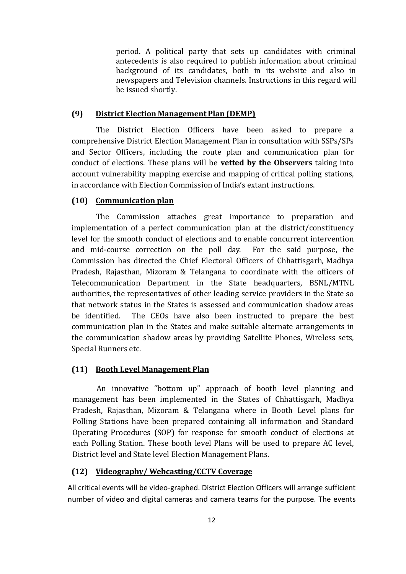period. A political party that sets up candidates with criminal antecedents is also required to publish information about criminal background of its candidates, both in its website and also in newspapers and Television channels. Instructions in this regard will be issued shortly.

### **(9) District Election Management Plan (DEMP)**

The District Election Officers have been asked to prepare a comprehensive District Election Management Plan in consultation with SSPs/SPs and Sector Officers, including the route plan and communication plan for conduct of elections. These plans will be **vetted by the Observers** taking into account vulnerability mapping exercise and mapping of critical polling stations, in accordance with Election Commission of India's extant instructions.

### **(10) Communication plan**

The Commission attaches great importance to preparation and implementation of a perfect communication plan at the district/constituency level for the smooth conduct of elections and to enable concurrent intervention and mid-course correction on the poll day. For the said purpose, the Commission has directed the Chief Electoral Officers of Chhattisgarh, Madhya Pradesh, Rajasthan, Mizoram & Telangana to coordinate with the officers of Telecommunication Department in the State headquarters, BSNL/MTNL authorities, the representatives of other leading service providers in the State so that network status in the States is assessed and communication shadow areas be identified. The CEOs have also been instructed to prepare the best communication plan in the States and make suitable alternate arrangements in the communication shadow areas by providing Satellite Phones, Wireless sets, Special Runners etc.

### **(11) Booth Level Management Plan**

An innovative "bottom up" approach of booth level planning and management has been implemented in the States of Chhattisgarh, Madhya Pradesh, Rajasthan, Mizoram & Telangana where in Booth Level plans for Polling Stations have been prepared containing all information and Standard Operating Procedures (SOP) for response for smooth conduct of elections at each Polling Station. These booth level Plans will be used to prepare AC level, District level and State level Election Management Plans.

### **(12) Videography/ Webcasting/CCTV Coverage**

All critical events will be video-graphed. District Election Officers will arrange sufficient number of video and digital cameras and camera teams for the purpose. The events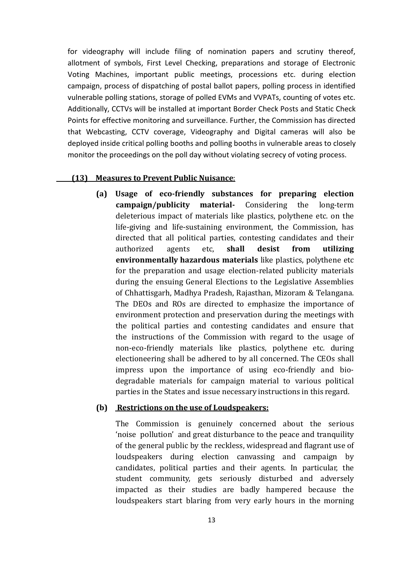for videography will include filing of nomination papers and scrutiny thereof, allotment of symbols, First Level Checking, preparations and storage of Electronic Voting Machines, important public meetings, processions etc. during election campaign, process of dispatching of postal ballot papers, polling process in identified vulnerable polling stations, storage of polled EVMs and VVPATs, counting of votes etc. Additionally, CCTVs will be installed at important Border Check Posts and Static Check Points for effective monitoring and surveillance. Further, the Commission has directed that Webcasting, CCTV coverage, Videography and Digital cameras will also be deployed inside critical polling booths and polling booths in vulnerable areas to closely monitor the proceedings on the poll day without violating secrecy of voting process.

#### **(13) Measures to Prevent Public Nuisance**:

**(a) Usage of eco-friendly substances for preparing election campaign/publicity material-** Considering the long-term deleterious impact of materials like plastics, polythene etc. on the life-giving and life-sustaining environment, the Commission, has directed that all political parties, contesting candidates and their authorized agents etc, **shall desist from utilizing environmentally hazardous materials** like plastics, polythene etc for the preparation and usage election-related publicity materials during the ensuing General Elections to the Legislative Assemblies of Chhattisgarh, Madhya Pradesh, Rajasthan, Mizoram & Telangana. The DEOs and ROs are directed to emphasize the importance of environment protection and preservation during the meetings with the political parties and contesting candidates and ensure that the instructions of the Commission with regard to the usage of non-eco-friendly materials like plastics, polythene etc. during electioneering shall be adhered to by all concerned. The CEOs shall impress upon the importance of using eco-friendly and biodegradable materials for campaign material to various political parties in the States and issue necessary instructions in this regard.

#### **(b) Restrictions on the use of Loudspeakers:**

The Commission is genuinely concerned about the serious 'noise pollution' and great disturbance to the peace and tranquility of the general public by the reckless, widespread and flagrant use of loudspeakers during election canvassing and campaign by candidates, political parties and their agents. In particular, the student community, gets seriously disturbed and adversely impacted as their studies are badly hampered because the loudspeakers start blaring from very early hours in the morning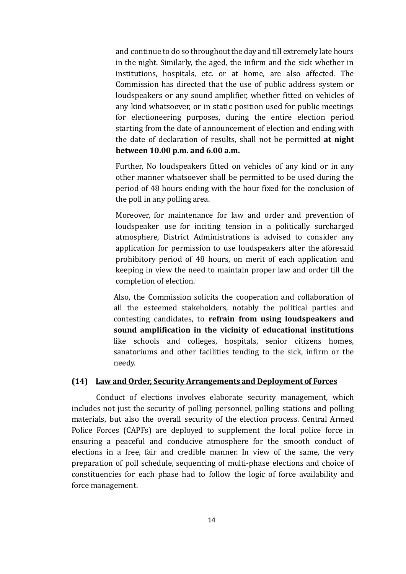and continue to do so throughout the day and till extremely late hours in the night. Similarly, the aged, the infirm and the sick whether in institutions, hospitals, etc. or at home, are also affected. The Commission has directed that the use of public address system or loudspeakers or any sound amplifier, whether fitted on vehicles of any kind whatsoever, or in static position used for public meetings for electioneering purposes, during the entire election period starting from the date of announcement of election and ending with the date of declaration of results, shall not be permitted **at night between 10.00 p.m. and 6.00 a.m.**

Further, No loudspeakers fitted on vehicles of any kind or in any other manner whatsoever shall be permitted to be used during the period of 48 hours ending with the hour fixed for the conclusion of the poll in any polling area.

Moreover, for maintenance for law and order and prevention of loudspeaker use for inciting tension in a politically surcharged atmosphere, District Administrations is advised to consider any application for permission to use loudspeakers after the aforesaid prohibitory period of 48 hours, on merit of each application and keeping in view the need to maintain proper law and order till the completion of election.

Also, the Commission solicits the cooperation and collaboration of all the esteemed stakeholders, notably the political parties and contesting candidates, to **refrain from using loudspeakers and sound amplification in the vicinity of educational institutions**  like schools and colleges, hospitals, senior citizens homes, sanatoriums and other facilities tending to the sick, infirm or the needy.

### **(14) Law and Order, Security Arrangements and Deployment of Forces**

Conduct of elections involves elaborate security management, which includes not just the security of polling personnel, polling stations and polling materials, but also the overall security of the election process. Central Armed Police Forces (CAPFs) are deployed to supplement the local police force in ensuring a peaceful and conducive atmosphere for the smooth conduct of elections in a free, fair and credible manner. In view of the same, the very preparation of poll schedule, sequencing of multi-phase elections and choice of constituencies for each phase had to follow the logic of force availability and force management.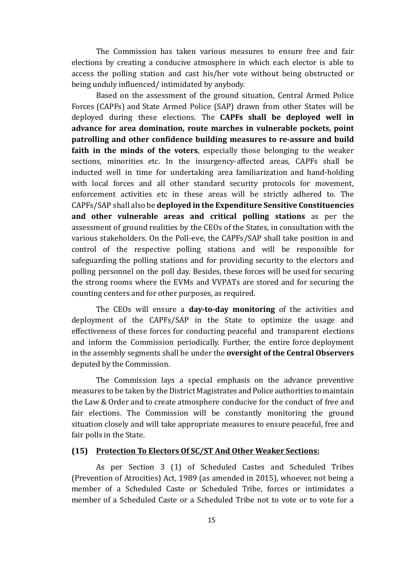The Commission has taken various measures to ensure free and fair elections by creating a conducive atmosphere in which each elector is able to access the polling station and cast his/her vote without being obstructed or being unduly influenced/ intimidated by anybody.

Based on the assessment of the ground situation, Central Armed Police Forces (CAPFs) and State Armed Police (SAP) drawn from other States will be deployed during these elections. The **CAPFs shall be deployed well in advance for area domination, route marches in vulnerable pockets, point patrolling and other confidence building measures to re-assure and build faith in the minds of the voters**, especially those belonging to the weaker sections, minorities etc. In the insurgency-affected areas, CAPFs shall be inducted well in time for undertaking area familiarization and hand-holding with local forces and all other standard security protocols for movement, enforcement activities etc in these areas will be strictly adhered to. The CAPFs/SAP shall also be **deployed in the Expenditure Sensitive Constituencies and other vulnerable areas and critical polling stations** as per the assessment of ground realities by the CEOs of the States, in consultation with the various stakeholders. On the Poll-eve, the CAPFs/SAP shall take position in and control of the respective polling stations and will be responsible for safeguarding the polling stations and for providing security to the electors and polling personnel on the poll day. Besides, these forces will be used for securing the strong rooms where the EVMs and VVPATs are stored and for securing the counting centers and for other purposes, as required.

The CEOs will ensure a **day-to-day monitoring** of the activities and deployment of the CAPFs/SAP in the State to optimize the usage and effectiveness of these forces for conducting peaceful and transparent elections and inform the Commission periodically. Further, the entire force deployment in the assembly segments shall be under the **oversight of the Central Observers**  deputed by the Commission.

The Commission lays a special emphasis on the advance preventive measures to be taken by the District Magistrates and Police authorities to maintain the Law & Order and to create atmosphere conducive for the conduct of free and fair elections. The Commission will be constantly monitoring the ground situation closely and will take appropriate measures to ensure peaceful, free and fair polls in the State.

### **(15) Protection To Electors Of SC/ST And Other Weaker Sections:**

As per Section 3 (1) of Scheduled Castes and Scheduled Tribes (Prevention of Atrocities) Act, 1989 (as amended in 2015), whoever, not being a member of a Scheduled Caste or Scheduled Tribe, forces or intimidates a member of a Scheduled Caste or a Scheduled Tribe not to vote or to vote for a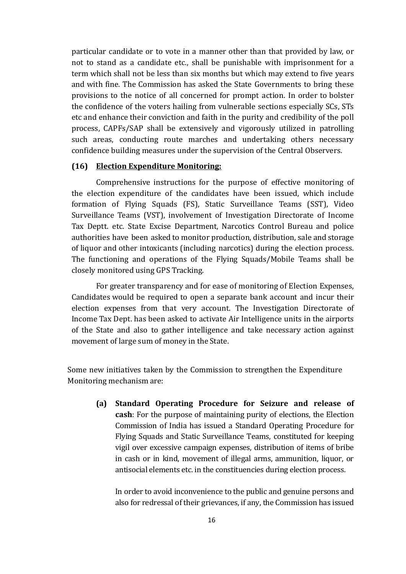particular candidate or to vote in a manner other than that provided by law, or not to stand as a candidate etc., shall be punishable with imprisonment for a term which shall not be less than six months but which may extend to five years and with fine. The Commission has asked the State Governments to bring these provisions to the notice of all concerned for prompt action. In order to bolster the confidence of the voters hailing from vulnerable sections especially SCs, STs etc and enhance their conviction and faith in the purity and credibility of the poll process, CAPFs/SAP shall be extensively and vigorously utilized in patrolling such areas, conducting route marches and undertaking others necessary confidence building measures under the supervision of the Central Observers.

#### **(16) Election Expenditure Monitoring:**

Comprehensive instructions for the purpose of effective monitoring of the election expenditure of the candidates have been issued, which include formation of Flying Squads (FS), Static Surveillance Teams (SST), Video Surveillance Teams (VST), involvement of Investigation Directorate of Income Tax Deptt. etc. State Excise Department, Narcotics Control Bureau and police authorities have been asked to monitor production, distribution, sale and storage of liquor and other intoxicants (including narcotics) during the election process. The functioning and operations of the Flying Squads/Mobile Teams shall be closely monitored using GPS Tracking.

For greater transparency and for ease of monitoring of Election Expenses, Candidates would be required to open a separate bank account and incur their election expenses from that very account. The Investigation Directorate of Income Tax Dept. has been asked to activate Air Intelligence units in the airports of the State and also to gather intelligence and take necessary action against movement of large sum of money in the State.

Some new initiatives taken by the Commission to strengthen the Expenditure Monitoring mechanism are:

> **(a) Standard Operating Procedure for Seizure and release of cash**: For the purpose of maintaining purity of elections, the Election Commission of India has issued a Standard Operating Procedure for Flying Squads and Static Surveillance Teams, constituted for keeping vigil over excessive campaign expenses, distribution of items of bribe in cash or in kind, movement of illegal arms, ammunition, liquor, or antisocial elements etc. in the constituencies during election process.

In order to avoid inconvenience to the public and genuine persons and also for redressal of their grievances, if any, the Commission has issued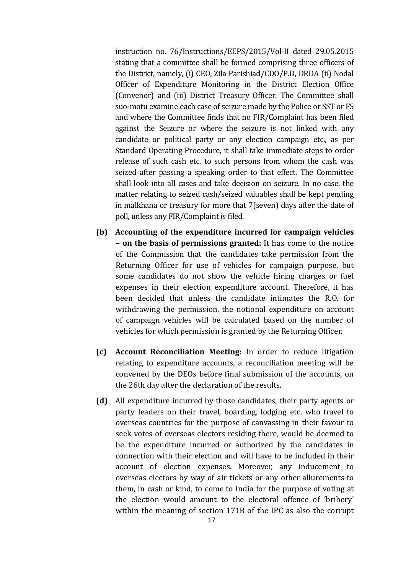instruction no. 76/Instructions/EEPS/2015/Vol-II dated 29.05.2015 stating that a committee shall be formed comprising three officers of the District, namely, (i) CEO, Zila Parishiad/CDO/P.D, DRDA (ii) Nodal Officer of Expenditure Monitoring in the District Election Office (Convenor) and (iii) District Treasury Officer. The Committee shall suo-motu examine each case of seizure made by the Police or SST or FS and where the Committee finds that no FIR/Complaint has been filed against the Seizure or where the seizure is not linked with any candidate or political party or any election campaign etc., as per Standard Operating Procedure, it shall take immediate steps to order release of such cash etc. to such persons from whom the cash was seized after passing a speaking order to that effect. The Committee shall look into all cases and take decision on seizure. In no case, the matter relating to seized cash/seized valuables shall be kept pending in malkhana or treasury for more that 7(seven) days after the date of poll, unless any FIR/Complaint is filed.

- **(b) Accounting of the expenditure incurred for campaign vehicles – on the basis of permissions granted:** It has come to the notice of the Commission that the candidates take permission from the Returning Officer for use of vehicles for campaign purpose, but some candidates do not show the vehicle hiring charges or fuel expenses in their election expenditure account. Therefore, it has been decided that unless the candidate intimates the R.O. for withdrawing the permission, the notional expenditure on account of campaign vehicles will be calculated based on the number of vehicles for which permission is granted by the Returning Officer.
- **(c) Account Reconciliation Meeting:** In order to reduce litigation relating to expenditure accounts, a reconciliation meeting will be convened by the DEOs before final submission of the accounts, on the 26th day after the declaration of the results.
- **(d)** All expenditure incurred by those candidates, their party agents or party leaders on their travel, boarding, lodging etc. who travel to overseas countries for the purpose of canvassing in their favour to seek votes of overseas electors residing there, would be deemed to be the expenditure incurred or authorized by the candidates in connection with their election and will have to be included in their account of election expenses. Moreover, any inducement to overseas electors by way of air tickets or any other allurements to them, in cash or kind, to come to India for the purpose of voting at the election would amount to the electoral offence of 'bribery' within the meaning of section 171B of the IPC as also the corrupt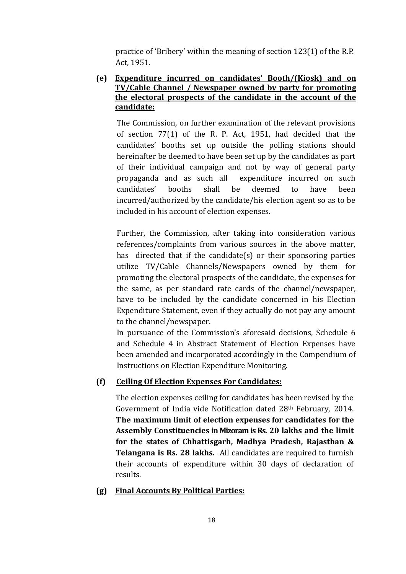practice of 'Bribery' within the meaning of section 123(1) of the R.P. Act, 1951.

## **(e) Expenditure incurred on candidates' Booth/(Kiosk) and on TV/Cable Channel / Newspaper owned by party for promoting the electoral prospects of the candidate in the account of the candidate:**

The Commission, on further examination of the relevant provisions of section 77(1) of the R. P. Act, 1951, had decided that the candidates' booths set up outside the polling stations should hereinafter be deemed to have been set up by the candidates as part of their individual campaign and not by way of general party propaganda and as such all expenditure incurred on such candidates' booths shall be deemed to have been incurred/authorized by the candidate/his election agent so as to be included in his account of election expenses.

Further, the Commission, after taking into consideration various references/complaints from various sources in the above matter, has directed that if the candidate(s) or their sponsoring parties utilize TV/Cable Channels/Newspapers owned by them for promoting the electoral prospects of the candidate, the expenses for the same, as per standard rate cards of the channel/newspaper, have to be included by the candidate concerned in his Election Expenditure Statement, even if they actually do not pay any amount to the channel/newspaper.

In pursuance of the Commission's aforesaid decisions, Schedule 6 and Schedule 4 in Abstract Statement of Election Expenses have been amended and incorporated accordingly in the Compendium of Instructions on Election Expenditure Monitoring.

## **(f) Ceiling Of Election Expenses For Candidates:**

The election expenses ceiling for candidates has been revised by the Government of India vide Notification dated 28th February, 2014. **The maximum limit of election expenses for candidates for the Assembly Constituencies in Mizoram is Rs. 20 lakhs and the limit for the states of Chhattisgarh, Madhya Pradesh, Rajasthan & Telangana is Rs. 28 lakhs.** All candidates are required to furnish their accounts of expenditure within 30 days of declaration of results.

### **(g) Final Accounts By Political Parties:**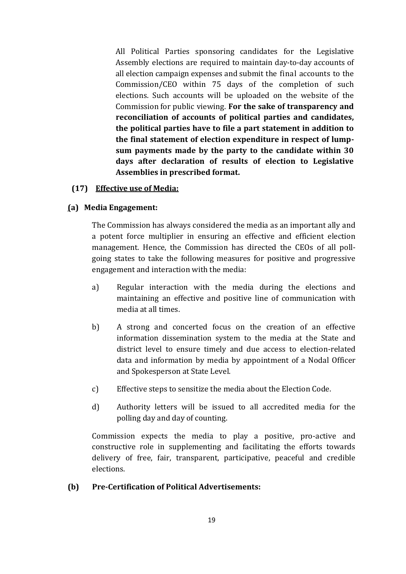All Political Parties sponsoring candidates for the Legislative Assembly elections are required to maintain day-to-day accounts of all election campaign expenses and submit the final accounts to the Commission/CEO within 75 days of the completion of such elections. Such accounts will be uploaded on the website of the Commission for public viewing. **For the sake of transparency and reconciliation of accounts of political parties and candidates, the political parties have to file a part statement in addition to the final statement of election expenditure in respect of lumpsum payments made by the party to the candidate within 30 days after declaration of results of election to Legislative Assemblies in prescribed format.**

## **(17) Effective use of Media:**

## **(a) Media Engagement:**

The Commission has always considered the media as an important ally and a potent force multiplier in ensuring an effective and efficient election management. Hence, the Commission has directed the CEOs of all pollgoing states to take the following measures for positive and progressive engagement and interaction with the media:

- a) Regular interaction with the media during the elections and maintaining an effective and positive line of communication with media at all times.
- b) A strong and concerted focus on the creation of an effective information dissemination system to the media at the State and district level to ensure timely and due access to election-related data and information by media by appointment of a Nodal Officer and Spokesperson at State Level.
- c) Effective steps to sensitize the media about the Election Code.
- d) Authority letters will be issued to all accredited media for the polling day and day of counting.

Commission expects the media to play a positive, pro-active and constructive role in supplementing and facilitating the efforts towards delivery of free, fair, transparent, participative, peaceful and credible elections.

## **(b) Pre-Certification of Political Advertisements:**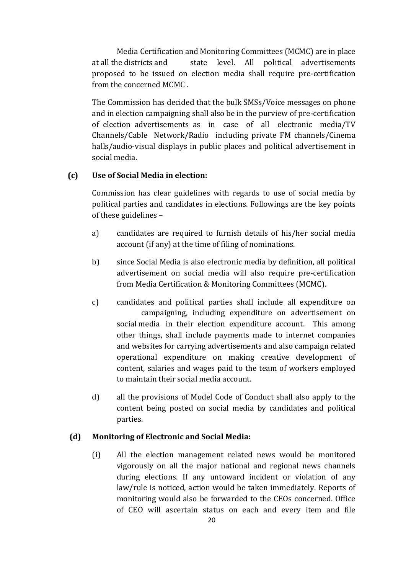Media Certification and Monitoring Committees (MCMC) are in place at all the districts and state level. All political advertisements proposed to be issued on election media shall require pre-certification from the concerned MCMC .

The Commission has decided that the bulk SMSs/Voice messages on phone and in election campaigning shall also be in the purview of pre-certification of election advertisements as in case of all electronic media/TV Channels/Cable Network/Radio including private FM channels/Cinema halls/audio-visual displays in public places and political advertisement in social media.

### **(c) Use of Social Media in election:**

Commission has clear guidelines with regards to use of social media by political parties and candidates in elections. Followings are the key points of these guidelines –

- a) candidates are required to furnish details of his/her social media account (if any) at the time of filing of nominations.
- b) since Social Media is also electronic media by definition, all political advertisement on social media will also require pre-certification from Media Certification & Monitoring Committees (MCMC).
- c) candidates and political parties shall include all expenditure on campaigning, including expenditure on advertisement on social media in their election expenditure account. This among other things, shall include payments made to internet companies and websites for carrying advertisements and also campaign related operational expenditure on making creative development of content, salaries and wages paid to the team of workers employed to maintain their social media account.
- d) all the provisions of Model Code of Conduct shall also apply to the content being posted on social media by candidates and political parties.

## **(d) Monitoring of Electronic and Social Media:**

(i) All the election management related news would be monitored vigorously on all the major national and regional news channels during elections. If any untoward incident or violation of any law/rule is noticed, action would be taken immediately. Reports of monitoring would also be forwarded to the CEOs concerned. Office of CEO will ascertain status on each and every item and file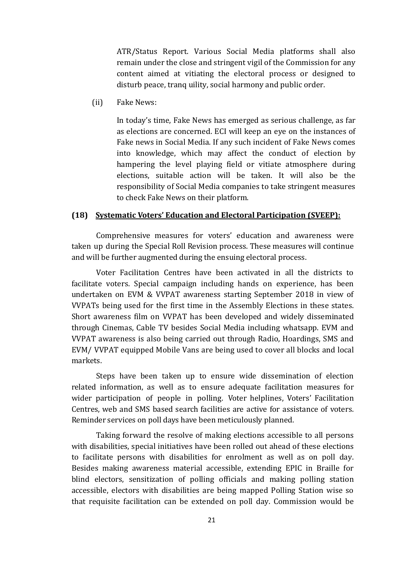ATR/Status Report. Various Social Media platforms shall also remain under the close and stringent vigil of the Commission for any content aimed at vitiating the electoral process or designed to disturb peace, tranq uility, social harmony and public order.

(ii) Fake News:

In today's time, Fake News has emerged as serious challenge, as far as elections are concerned. ECI will keep an eye on the instances of Fake news in Social Media. If any such incident of Fake News comes into knowledge, which may affect the conduct of election by hampering the level playing field or vitiate atmosphere during elections, suitable action will be taken. It will also be the responsibility of Social Media companies to take stringent measures to check Fake News on their platform.

### **(18) Systematic Voters' Education and Electoral Participation (SVEEP):**

Comprehensive measures for voters' education and awareness were taken up during the Special Roll Revision process. These measures will continue and will be further augmented during the ensuing electoral process.

Voter Facilitation Centres have been activated in all the districts to facilitate voters. Special campaign including hands on experience, has been undertaken on EVM & VVPAT awareness starting September 2018 in view of VVPATs being used for the first time in the Assembly Elections in these states. Short awareness film on VVPAT has been developed and widely disseminated through Cinemas, Cable TV besides Social Media including whatsapp. EVM and VVPAT awareness is also being carried out through Radio, Hoardings, SMS and EVM/ VVPAT equipped Mobile Vans are being used to cover all blocks and local markets.

Steps have been taken up to ensure wide dissemination of election related information, as well as to ensure adequate facilitation measures for wider participation of people in polling. Voter helplines, Voters' Facilitation Centres, web and SMS based search facilities are active for assistance of voters. Reminder services on poll days have been meticulously planned.

Taking forward the resolve of making elections accessible to all persons with disabilities, special initiatives have been rolled out ahead of these elections to facilitate persons with disabilities for enrolment as well as on poll day. Besides making awareness material accessible, extending EPIC in Braille for blind electors, sensitization of polling officials and making polling station accessible, electors with disabilities are being mapped Polling Station wise so that requisite facilitation can be extended on poll day. Commission would be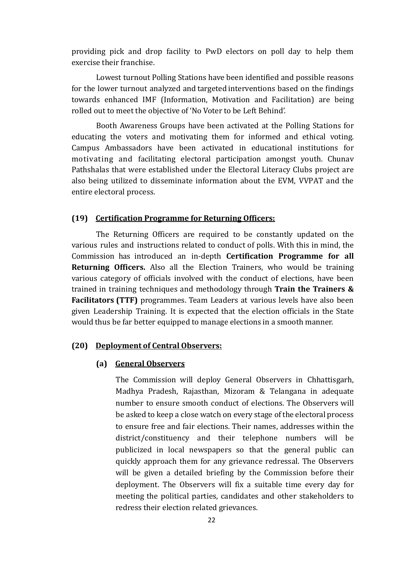providing pick and drop facility to PwD electors on poll day to help them exercise their franchise.

Lowest turnout Polling Stations have been identified and possible reasons for the lower turnout analyzed and targeted interventions based on the findings towards enhanced IMF (Information, Motivation and Facilitation) are being rolled out to meet the objective of 'No Voter to be Left Behind'.

Booth Awareness Groups have been activated at the Polling Stations for educating the voters and motivating them for informed and ethical voting. Campus Ambassadors have been activated in educational institutions for motivating and facilitating electoral participation amongst youth. Chunav Pathshalas that were established under the Electoral Literacy Clubs project are also being utilized to disseminate information about the EVM, VVPAT and the entire electoral process.

#### **(19) Certification Programme for Returning Officers:**

The Returning Officers are required to be constantly updated on the various rules and instructions related to conduct of polls. With this in mind, the Commission has introduced an in-depth **Certification Programme for all Returning Officers.** Also all the Election Trainers, who would be training various category of officials involved with the conduct of elections, have been trained in training techniques and methodology through **Train the Trainers & Facilitators (TTF)** programmes. Team Leaders at various levels have also been given Leadership Training. It is expected that the election officials in the State would thus be far better equipped to manage elections in a smooth manner.

#### **(20) Deployment of Central Observers:**

#### **(a) General Observers**

The Commission will deploy General Observers in Chhattisgarh, Madhya Pradesh, Rajasthan, Mizoram & Telangana in adequate number to ensure smooth conduct of elections. The Observers will be asked to keep a close watch on every stage of the electoral process to ensure free and fair elections. Their names, addresses within the district/constituency and their telephone numbers will be publicized in local newspapers so that the general public can quickly approach them for any grievance redressal. The Observers will be given a detailed briefing by the Commission before their deployment. The Observers will fix a suitable time every day for meeting the political parties, candidates and other stakeholders to redress their election related grievances.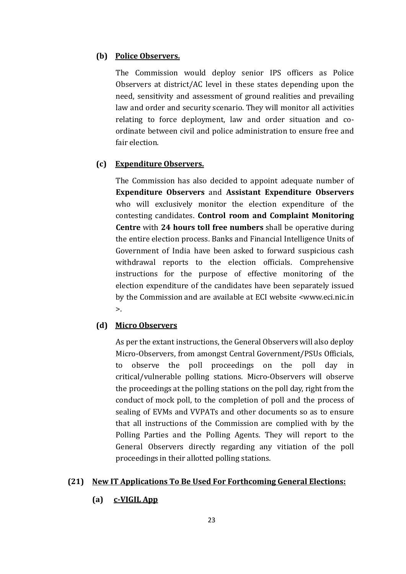## **(b) Police Observers.**

The Commission would deploy senior IPS officers as Police Observers at district/AC level in these states depending upon the need, sensitivity and assessment of ground realities and prevailing law and order and security scenario. They will monitor all activities relating to force deployment, law and order situation and coordinate between civil and police administration to ensure free and fair election.

### **(c) Expenditure Observers.**

The Commission has also decided to appoint adequate number of **Expenditure Observers** and **Assistant Expenditure Observers** who will exclusively monitor the election expenditure of the contesting candidates. **Control room and Complaint Monitoring Centre** with **24 hours toll free numbers** shall be operative during the entire election process. Banks and Financial Intelligence Units of Government of India have been asked to forward suspicious cash withdrawal reports to the election officials. Comprehensive instructions for the purpose of effective monitoring of the election expenditure of the candidates have been separately issued by the Commission and are available at ECI website [<www.eci.nic.in](http://www.eci.nic.in/)  $\mathbf{L}$ 

### **(d) Micro Observers**

As per the extant instructions, the General Observers will also deploy Micro-Observers, from amongst Central Government/PSUs Officials, to observe the poll proceedings on the poll day in critical/vulnerable polling stations. Micro-Observers will observe the proceedings at the polling stations on the poll day, right from the conduct of mock poll, to the completion of poll and the process of sealing of EVMs and VVPATs and other documents so as to ensure that all instructions of the Commission are complied with by the Polling Parties and the Polling Agents. They will report to the General Observers directly regarding any vitiation of the poll proceedings in their allotted polling stations.

#### **(21) New IT Applications To Be Used For Forthcoming General Elections:**

**(a) c-VIGIL App**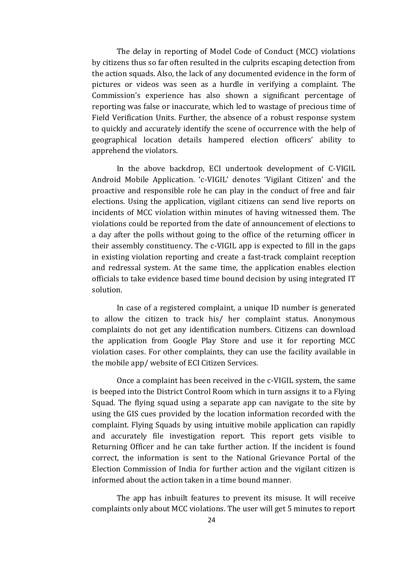The delay in reporting of Model Code of Conduct (MCC) violations by citizens thus so far often resulted in the culprits escaping detection from the action squads. Also, the lack of any documented evidence in the form of pictures or videos was seen as a hurdle in verifying a complaint. The Commission's experience has also shown a significant percentage of reporting was false or inaccurate, which led to wastage of precious time of Field Verification Units. Further, the absence of a robust response system to quickly and accurately identify the scene of occurrence with the help of geographical location details hampered election officers' ability to apprehend the violators.

In the above backdrop, ECI undertook development of C-VIGIL Android Mobile Application. 'c-VIGIL' denotes 'Vigilant Citizen' and the proactive and responsible role he can play in the conduct of free and fair elections. Using the application, vigilant citizens can send live reports on incidents of MCC violation within minutes of having witnessed them. The violations could be reported from the date of announcement of elections to a day after the polls without going to the office of the returning officer in their assembly constituency. The c-VIGIL app is expected to fill in the gaps in existing violation reporting and create a fast-track complaint reception and redressal system. At the same time, the application enables election officials to take evidence based time bound decision by using integrated IT solution.

In case of a registered complaint, a unique ID number is generated to allow the citizen to track his/ her complaint status. Anonymous complaints do not get any identification numbers. Citizens can download the application from Google Play Store and use it for reporting MCC violation cases. For other complaints, they can use the facility available in the mobile app/ website of ECI Citizen Services.

Once a complaint has been received in the c-VIGIL system, the same is beeped into the District Control Room which in turn assigns it to a Flying Squad. The flying squad using a separate app can navigate to the site by using the GIS cues provided by the location information recorded with the complaint. Flying Squads by using intuitive mobile application can rapidly and accurately file investigation report. This report gets visible to Returning Officer and he can take further action. If the incident is found correct, the information is sent to the National Grievance Portal of the Election Commission of India for further action and the vigilant citizen is informed about the action taken in a time bound manner.

The app has inbuilt features to prevent its misuse. It will receive complaints only about MCC violations. The user will get 5 minutes to report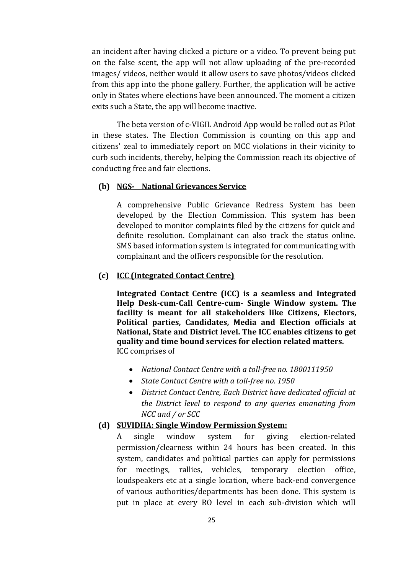an incident after having clicked a picture or a video. To prevent being put on the false scent, the app will not allow uploading of the pre-recorded images/ videos, neither would it allow users to save photos/videos clicked from this app into the phone gallery. Further, the application will be active only in States where elections have been announced. The moment a citizen exits such a State, the app will become inactive.

The beta version of c-VIGIL Android App would be rolled out as Pilot in these states. The Election Commission is counting on this app and citizens' zeal to immediately report on MCC violations in their vicinity to curb such incidents, thereby, helping the Commission reach its objective of conducting free and fair elections.

### **(b) NGS- National Grievances Service**

A comprehensive Public Grievance Redress System has been developed by the Election Commission. This system has been developed to monitor complaints filed by the citizens for quick and definite resolution. Complainant can also track the status online. SMS based information system is integrated for communicating with complainant and the officers responsible for the resolution.

#### **(c) ICC (Integrated Contact Centre)**

**Integrated Contact Centre (ICC) is a seamless and Integrated Help Desk-cum-Call Centre-cum- Single Window system. The facility is meant for all stakeholders like Citizens, Electors, Political parties, Candidates, Media and Election officials at National, State and District level. The ICC enables citizens to get quality and time bound services for election related matters.** ICC comprises of

- *National Contact Centre with a toll-free no. 1800111950*
- *State Contact Centre with a toll-free no. 1950*
- *District Contact Centre, Each District have dedicated official at the District level to respond to any queries emanating from NCC and / or SCC*

#### **(d) SUVIDHA: Single Window Permission System:**

single window system for giving election-related permission/clearness within 24 hours has been created. In this system, candidates and political parties can apply for permissions for meetings, rallies, vehicles, temporary election office, loudspeakers etc at a single location, where back-end convergence of various authorities/departments has been done. This system is put in place at every RO level in each sub-division which will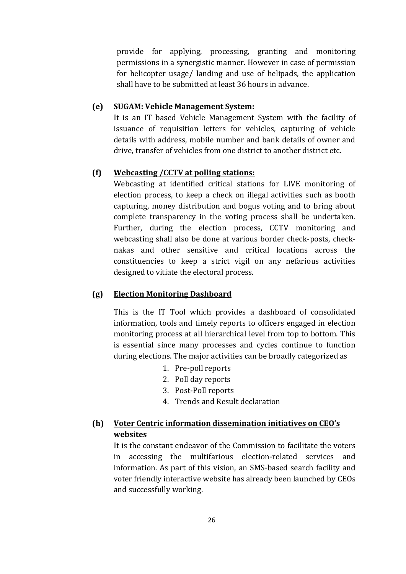provide for applying, processing, granting and monitoring permissions in a synergistic manner. However in case of permission for helicopter usage/ landing and use of helipads, the application shall have to be submitted at least 36 hours in advance.

### **(e) SUGAM: Vehicle Management System:**

It is an IT based Vehicle Management System with the facility of issuance of requisition letters for vehicles, capturing of vehicle details with address, mobile number and bank details of owner and drive, transfer of vehicles from one district to another district etc.

### **(f) Webcasting /CCTV at polling stations:**

Webcasting at identified critical stations for LIVE monitoring of election process, to keep a check on illegal activities such as booth capturing, money distribution and bogus voting and to bring about complete transparency in the voting process shall be undertaken. Further, during the election process, CCTV monitoring and webcasting shall also be done at various border check-posts, checknakas and other sensitive and critical locations across the constituencies to keep a strict vigil on any nefarious activities designed to vitiate the electoral process.

### **(g) Election Monitoring Dashboard**

This is the IT Tool which provides a dashboard of consolidated information, tools and timely reports to officers engaged in election monitoring process at all hierarchical level from top to bottom. This is essential since many processes and cycles continue to function during elections. The major activities can be broadly categorized as

- 1. Pre-poll reports
- 2. Poll day reports
- 3. Post-Poll reports
- 4. Trends and Result declaration

# **(h) Voter Centric information dissemination initiatives on CEO's websites**

It is the constant endeavor of the Commission to facilitate the voters in accessing the multifarious election-related services and information. As part of this vision, an SMS-based search facility and voter friendly interactive website has already been launched by CEOs and successfully working.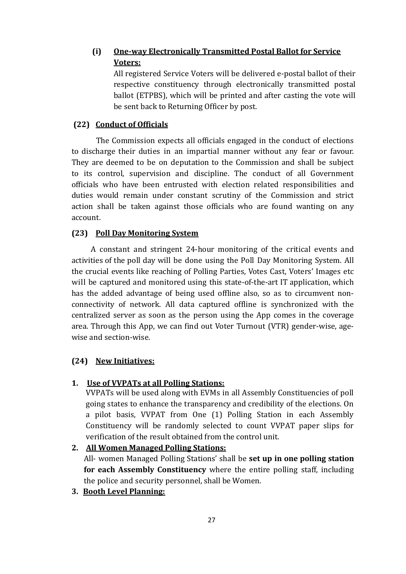# **(i) One-way Electronically Transmitted Postal Ballot for Service Voters:**

All registered Service Voters will be delivered e-postal ballot of their respective constituency through electronically transmitted postal ballot (ETPBS), which will be printed and after casting the vote will be sent back to Returning Officer by post.

## **(22) Conduct of Officials**

The Commission expects all officials engaged in the conduct of elections to discharge their duties in an impartial manner without any fear or favour. They are deemed to be on deputation to the Commission and shall be subject to its control, supervision and discipline. The conduct of all Government officials who have been entrusted with election related responsibilities and duties would remain under constant scrutiny of the Commission and strict action shall be taken against those officials who are found wanting on any account.

## **(23) Poll Day Monitoring System**

A constant and stringent 24-hour monitoring of the critical events and activities of the poll day will be done using the Poll Day Monitoring System. All the crucial events like reaching of Polling Parties, Votes Cast, Voters' Images etc will be captured and monitored using this state-of-the-art IT application, which has the added advantage of being used offline also, so as to circumvent nonconnectivity of network. All data captured offline is synchronized with the centralized server as soon as the person using the App comes in the coverage area. Through this App, we can find out Voter Turnout (VTR) gender-wise, agewise and section-wise.

## **(24) New Initiatives:**

# **1. Use of VVPATs at all Polling Stations:**

VVPATs will be used along with EVMs in all Assembly Constituencies of poll going states to enhance the transparency and credibility of the elections. On a pilot basis, VVPAT from One (1) Polling Station in each Assembly Constituency will be randomly selected to count VVPAT paper slips for verification of the result obtained from the control unit.

## **2. All Women Managed Polling Stations:**

All- women Managed Polling Stations' shall be **set up in one polling station for each Assembly Constituency** where the entire polling staff, including the police and security personnel, shall be Women.

## **3. Booth Level Planning:**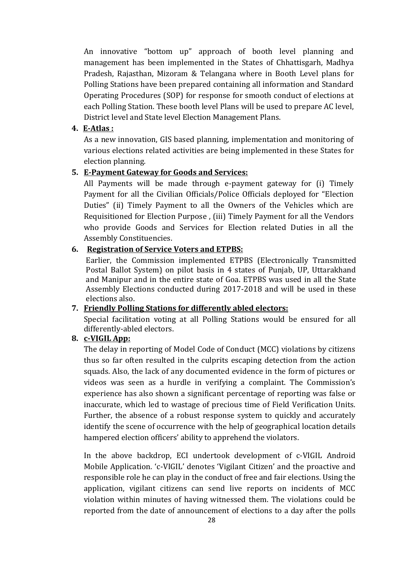An innovative "bottom up" approach of booth level planning and management has been implemented in the States of Chhattisgarh, Madhya Pradesh, Rajasthan, Mizoram & Telangana where in Booth Level plans for Polling Stations have been prepared containing all information and Standard Operating Procedures (SOP) for response for smooth conduct of elections at each Polling Station. These booth level Plans will be used to prepare AC level, District level and State level Election Management Plans.

### **4. E-Atlas :**

As a new innovation, GIS based planning, implementation and monitoring of various elections related activities are being implemented in these States for election planning.

### **5. E-Payment Gateway for Goods and Services:**

All Payments will be made through e-payment gateway for (i) Timely Payment for all the Civilian Officials/Police Officials deployed for "Election Duties" (ii) Timely Payment to all the Owners of the Vehicles which are Requisitioned for Election Purpose , (iii) Timely Payment for all the Vendors who provide Goods and Services for Election related Duties in all the Assembly Constituencies.

### **6. Registration of Service Voters and ETPBS:**

Earlier, the Commission implemented ETPBS (Electronically Transmitted Postal Ballot System) on pilot basis in 4 states of Punjab, UP, Uttarakhand and Manipur and in the entire state of Goa. ETPBS was used in all the State Assembly Elections conducted during 2017-2018 and will be used in these elections also.

### **7. Friendly Polling Stations for differently abled electors:**

Special facilitation voting at all Polling Stations would be ensured for all differently-abled electors.

## **8. c-VIGIL App:**

The delay in reporting of Model Code of Conduct (MCC) violations by citizens thus so far often resulted in the culprits escaping detection from the action squads. Also, the lack of any documented evidence in the form of pictures or videos was seen as a hurdle in verifying a complaint. The Commission's experience has also shown a significant percentage of reporting was false or inaccurate, which led to wastage of precious time of Field Verification Units. Further, the absence of a robust response system to quickly and accurately identify the scene of occurrence with the help of geographical location details hampered election officers' ability to apprehend the violators.

In the above backdrop, ECI undertook development of c-VIGIL Android Mobile Application. 'c-VIGIL' denotes 'Vigilant Citizen' and the proactive and responsible role he can play in the conduct of free and fair elections. Using the application, vigilant citizens can send live reports on incidents of MCC violation within minutes of having witnessed them. The violations could be reported from the date of announcement of elections to a day after the polls